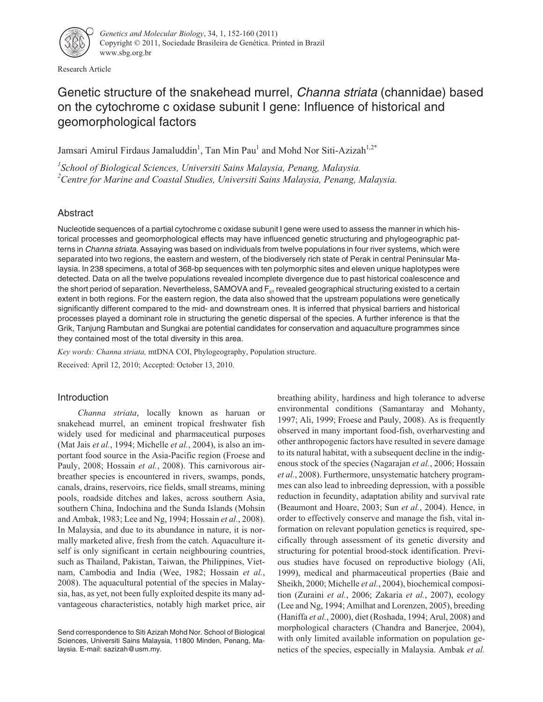

Research Article

# Genetic structure of the snakehead murrel, Channa striata (channidae) based on the cytochrome c oxidase subunit I gene: Influence of historical and geomorphological factors

Jamsari Amirul Firdaus Jamaluddin<sup>1</sup>, Tan Min Pau<sup>1</sup> and Mohd Nor Siti-Azizah<sup>1,2\*</sup>

*1 School of Biological Sciences, Universiti Sains Malaysia, Penang, Malaysia. 2 Centre for Marine and Coastal Studies, Universiti Sains Malaysia, Penang, Malaysia.*

# Abstract

Nucleotide sequences of a partial cytochrome c oxidase subunit I gene were used to assess the manner in which historical processes and geomorphological effects may have influenced genetic structuring and phylogeographic patterns in Channa striata. Assaying was based on individuals from twelve populations in four river systems, which were separated into two regions, the eastern and western, of the biodiversely rich state of Perak in central Peninsular Malaysia. In 238 specimens, a total of 368-bp sequences with ten polymorphic sites and eleven unique haplotypes were detected. Data on all the twelve populations revealed incomplete divergence due to past historical coalescence and the short period of separation. Nevertheless, SAMOVA and F<sub>ST</sub> revealed geographical structuring existed to a certain extent in both regions. For the eastern region, the data also showed that the upstream populations were genetically significantly different compared to the mid- and downstream ones. It is inferred that physical barriers and historical processes played a dominant role in structuring the genetic dispersal of the species. A further inference is that the Grik, Tanjung Rambutan and Sungkai are potential candidates for conservation and aquaculture programmes since they contained most of the total diversity in this area.

*Key words: Channa striata,* mtDNA COI, Phylogeography, Population structure.

Received: April 12, 2010; Accepted: October 13, 2010.

# Introduction

*Channa striata*, locally known as haruan or snakehead murrel, an eminent tropical freshwater fish widely used for medicinal and pharmaceutical purposes (Mat Jais *et al.*, 1994; Michelle *et al.*, 2004), is also an important food source in the Asia-Pacific region (Froese and Pauly, 2008; Hossain *et al.*, 2008). This carnivorous airbreather species is encountered in rivers, swamps, ponds, canals, drains, reservoirs, rice fields, small streams, mining pools, roadside ditches and lakes, across southern Asia, southern China, Indochina and the Sunda Islands (Mohsin and Ambak, 1983; Lee and Ng, 1994; Hossain *et al.*, 2008). In Malaysia, and due to its abundance in nature, it is normally marketed alive, fresh from the catch. Aquaculture itself is only significant in certain neighbouring countries, such as Thailand, Pakistan, Taiwan, the Philippines, Vietnam, Cambodia and India (Wee, 1982; Hossain *et al.*, 2008). The aquacultural potential of the species in Malaysia, has, as yet, not been fully exploited despite its many advantageous characteristics, notably high market price, air breathing ability, hardiness and high tolerance to adverse environmental conditions (Samantaray and Mohanty, 1997; Ali, 1999; Froese and Pauly, 2008). As is frequently observed in many important food-fish, overharvesting and other anthropogenic factors have resulted in severe damage to its natural habitat, with a subsequent decline in the indigenous stock of the species (Nagarajan *et al.*, 2006; Hossain *et al.*, 2008). Furthermore, unsystematic hatchery programmes can also lead to inbreeding depression, with a possible reduction in fecundity, adaptation ability and survival rate (Beaumont and Hoare, 2003; Sun *et al.*, 2004). Hence, in order to effectively conserve and manage the fish, vital information on relevant population genetics is required, specifically through assessment of its genetic diversity and structuring for potential brood-stock identification. Previous studies have focused on reproductive biology (Ali, 1999), medical and pharmaceutical properties (Baie and Sheikh, 2000; Michelle *et al.*, 2004), biochemical composition (Zuraini *et al.*, 2006; Zakaria *et al.*, 2007), ecology (Lee and Ng, 1994; Amilhat and Lorenzen, 2005), breeding (Haniffa *et al.*, 2000), diet (Roshada, 1994; Arul, 2008) and morphological characters (Chandra and Banerjee, 2004), with only limited available information on population genetics of the species, especially in Malaysia. Ambak *et al.*

Send correspondence to Siti Azizah Mohd Nor. School of Biological Sciences, Universiti Sains Malaysia, 11800 Minden, Penang, Malaysia. E-mail: sazizah@usm.my.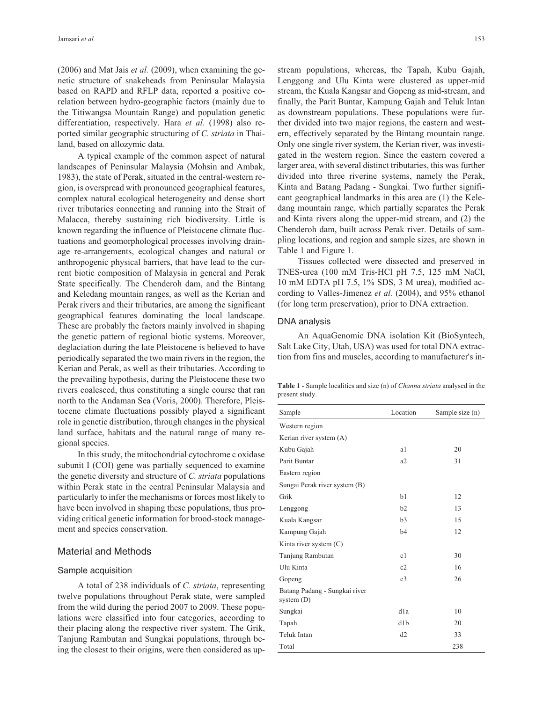(2006) and Mat Jais *et al.* (2009), when examining the genetic structure of snakeheads from Peninsular Malaysia based on RAPD and RFLP data, reported a positive corelation between hydro-geographic factors (mainly due to the Titiwangsa Mountain Range) and population genetic differentiation, respectively. Hara *et al.* (1998) also reported similar geographic structuring of *C. striata* in Thailand, based on allozymic data.

A typical example of the common aspect of natural landscapes of Peninsular Malaysia (Mohsin and Ambak, 1983), the state of Perak, situated in the central-western region, is overspread with pronounced geographical features, complex natural ecological heterogeneity and dense short river tributaries connecting and running into the Strait of Malacca, thereby sustaining rich biodiversity. Little is known regarding the influence of Pleistocene climate fluctuations and geomorphological processes involving drainage re-arrangements, ecological changes and natural or anthropogenic physical barriers, that have lead to the current biotic composition of Malaysia in general and Perak State specifically. The Chenderoh dam, and the Bintang and Keledang mountain ranges, as well as the Kerian and Perak rivers and their tributaries, are among the significant geographical features dominating the local landscape. These are probably the factors mainly involved in shaping the genetic pattern of regional biotic systems. Moreover, deglaciation during the late Pleistocene is believed to have periodically separated the two main rivers in the region, the Kerian and Perak, as well as their tributaries. According to the prevailing hypothesis, during the Pleistocene these two rivers coalesced, thus constituting a single course that ran north to the Andaman Sea (Voris, 2000). Therefore, Pleistocene climate fluctuations possibly played a significant role in genetic distribution, through changes in the physical land surface, habitats and the natural range of many regional species.

In this study, the mitochondrial cytochrome c oxidase subunit I (COI) gene was partially sequenced to examine the genetic diversity and structure of *C. striata* populations within Perak state in the central Peninsular Malaysia and particularly to infer the mechanisms or forces most likely to have been involved in shaping these populations, thus providing critical genetic information for brood-stock management and species conservation.

### Material and Methods

#### Sample acquisition

A total of 238 individuals of *C. striata*, representing twelve populations throughout Perak state, were sampled from the wild during the period 2007 to 2009. These populations were classified into four categories, according to their placing along the respective river system. The Grik, Tanjung Rambutan and Sungkai populations, through being the closest to their origins, were then considered as upstream populations, whereas, the Tapah, Kubu Gajah, Lenggong and Ulu Kinta were clustered as upper-mid stream, the Kuala Kangsar and Gopeng as mid-stream, and finally, the Parit Buntar, Kampung Gajah and Teluk Intan as downstream populations. These populations were further divided into two major regions, the eastern and western, effectively separated by the Bintang mountain range. Only one single river system, the Kerian river, was investigated in the western region. Since the eastern covered a larger area, with several distinct tributaries, this was further divided into three riverine systems, namely the Perak, Kinta and Batang Padang - Sungkai. Two further significant geographical landmarks in this area are (1) the Keledang mountain range, which partially separates the Perak and Kinta rivers along the upper-mid stream, and (2) the Chenderoh dam, built across Perak river. Details of sampling locations, and region and sample sizes, are shown in Table 1 and Figure 1.

Tissues collected were dissected and preserved in TNES-urea (100 mM Tris-HCl pH 7.5, 125 mM NaCl, 10 mM EDTA pH 7.5, 1% SDS, 3 M urea), modified according to Valles-Jimenez *et al.* (2004), and 95% ethanol (for long term preservation), prior to DNA extraction.

#### DNA analysis

An AquaGenomic DNA isolation Kit (BioSyntech, Salt Lake City, Utah, USA) was used for total DNA extraction from fins and muscles, according to manufacturer's in-

**Table 1** - Sample localities and size (n) of *Channa striata* analysed in the present study.

| Sample                                        | Location       | Sample size (n) |
|-----------------------------------------------|----------------|-----------------|
| Western region                                |                |                 |
| Kerian river system (A)                       |                |                 |
| Kubu Gajah                                    | a1             | 20              |
| Parit Buntar                                  | a2             | 31              |
| Eastern region                                |                |                 |
| Sungai Perak river system (B)                 |                |                 |
| Grik                                          | b1             | 12              |
| Lenggong                                      | b2             | 13              |
| Kuala Kangsar                                 | h <sub>3</sub> | 15              |
| Kampung Gajah                                 | h4             | 12              |
| Kinta river system (C)                        |                |                 |
| Tanjung Rambutan                              | c <sub>1</sub> | 30              |
| Ulu Kinta                                     | c2             | 16              |
| Gopeng                                        | c <sub>3</sub> | 26              |
| Batang Padang - Sungkai river<br>system $(D)$ |                |                 |
| Sungkai                                       | d1a            | 10              |
| Tapah                                         | d1b            | 20              |
| Teluk Intan                                   | d2             | 33              |
| Total                                         |                | 238             |
|                                               |                |                 |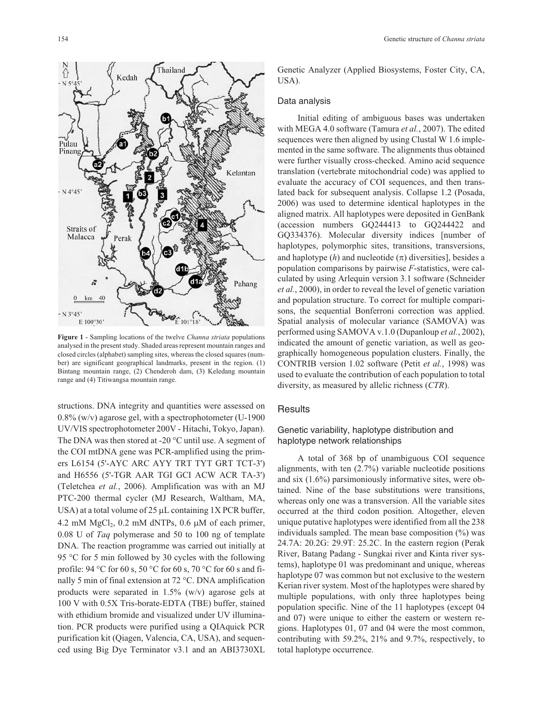

**Figure 1** - Sampling locations of the twelve *Channa striata* populations analysed in the present study. Shaded areas represent mountain ranges and closed circles (alphabet) sampling sites, whereas the closed squares (number) are significant geographical landmarks, present in the region. (1) Bintang mountain range, (2) Chenderoh dam, (3) Keledang mountain range and (4) Titiwangsa mountain range.

structions. DNA integrity and quantities were assessed on 0.8% (w/v) agarose gel, with a spectrophotometer (U-1900 UV/VIS spectrophotometer 200V - Hitachi, Tokyo, Japan). The DNA was then stored at -20 °C until use. A segment of the COI mtDNA gene was PCR-amplified using the primers L6154 (5'-AYC ARC AYY TRT TYT GRT TCT-3') and H6556 (5'-TGR AAR TGI GCI ACW ACR TA-3') (Teletchea *et al.*, 2006). Amplification was with an MJ PTC-200 thermal cycler (MJ Research, Waltham, MA, USA) at a total volume of 25  $\mu$ L containing 1X PCR buffer,  $4.2 \text{ mM } MgCl<sub>2</sub>$ , 0.2 mM dNTPs, 0.6  $\mu$ M of each primer, 0.08 U of *Taq* polymerase and 50 to 100 ng of template DNA. The reaction programme was carried out initially at 95 °C for 5 min followed by 30 cycles with the following profile: 94 °C for 60 s, 50 °C for 60 s, 70 °C for 60 s and finally 5 min of final extension at 72 °C. DNA amplification products were separated in 1.5% (w/v) agarose gels at 100 V with 0.5X Tris-borate-EDTA (TBE) buffer, stained with ethidium bromide and visualized under UV illumination. PCR products were purified using a QIAquick PCR purification kit (Qiagen, Valencia, CA, USA), and sequenced using Big Dye Terminator v3.1 and an ABI3730XL Genetic Analyzer (Applied Biosystems, Foster City, CA, USA).

### Data analysis

Initial editing of ambiguous bases was undertaken with MEGA 4.0 software (Tamura *et al.*, 2007). The edited sequences were then aligned by using Clustal W 1.6 implemented in the same software. The alignments thus obtained were further visually cross-checked. Amino acid sequence translation (vertebrate mitochondrial code) was applied to evaluate the accuracy of COI sequences, and then translated back for subsequent analysis. Collapse 1.2 (Posada, 2006) was used to determine identical haplotypes in the aligned matrix. All haplotypes were deposited in GenBank (accession numbers GQ244413 to GQ244422 and GQ334376). Molecular diversity indices [number of haplotypes, polymorphic sites, transitions, transversions, and haplotype  $(h)$  and nucleotide  $(\pi)$  diversities], besides a population comparisons by pairwise *F*-statistics, were calculated by using Arlequin version 3.1 software (Schneider *et al.*, 2000), in order to reveal the level of genetic variation and population structure. To correct for multiple comparisons, the sequential Bonferroni correction was applied. Spatial analysis of molecular variance (SAMOVA) was performed using SAMOVA v.1.0 (Dupanloup *et al.*, 2002), indicated the amount of genetic variation, as well as geographically homogeneous population clusters. Finally, the CONTRIB version 1.02 software (Petit *et al.*, 1998) was used to evaluate the contribution of each population to total diversity, as measured by allelic richness (*CTR*).

### **Results**

## Genetic variability, haplotype distribution and haplotype network relationships

A total of 368 bp of unambiguous COI sequence alignments, with ten (2.7%) variable nucleotide positions and six (1.6%) parsimoniously informative sites, were obtained. Nine of the base substitutions were transitions, whereas only one was a transversion. All the variable sites occurred at the third codon position. Altogether, eleven unique putative haplotypes were identified from all the 238 individuals sampled. The mean base composition  $(\%)$  was 24.7A: 20.2G: 29.9T: 25.2C. In the eastern region (Perak River, Batang Padang - Sungkai river and Kinta river systems), haplotype 01 was predominant and unique, whereas haplotype 07 was common but not exclusive to the western Kerian river system. Most of the haplotypes were shared by multiple populations, with only three haplotypes being population specific. Nine of the 11 haplotypes (except 04 and 07) were unique to either the eastern or western regions. Haplotypes 01, 07 and 04 were the most common, contributing with 59.2%, 21% and 9.7%, respectively, to total haplotype occurrence.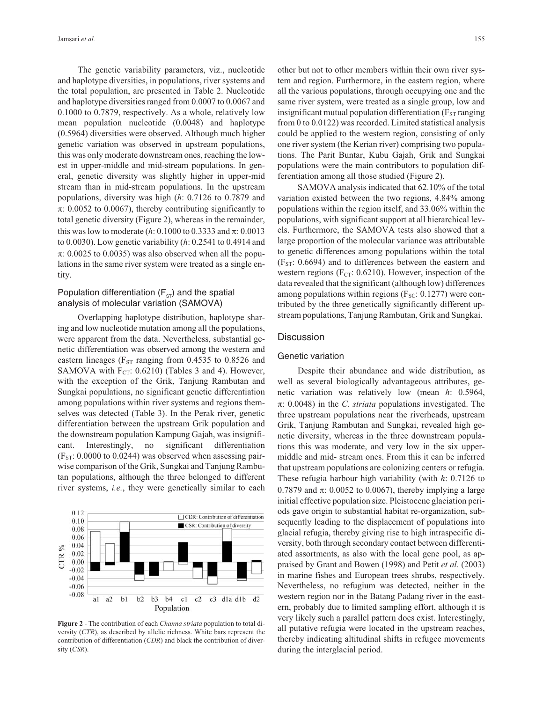The genetic variability parameters, viz., nucleotide and haplotype diversities, in populations, river systems and the total population, are presented in Table 2. Nucleotide and haplotype diversities ranged from 0.0007 to 0.0067 and 0.1000 to 0.7879, respectively. As a whole, relatively low mean population nucleotide (0.0048) and haplotype (0.5964) diversities were observed. Although much higher genetic variation was observed in upstream populations, this was only moderate downstream ones, reaching the lowest in upper-middle and mid-stream populations. In general, genetic diversity was slightly higher in upper-mid stream than in mid-stream populations. In the upstream populations, diversity was high (*h*: 0.7126 to 0.7879 and  $\pi$ : 0.0052 to 0.0067), thereby contributing significantly to total genetic diversity (Figure 2), whereas in the remainder, this was low to moderate  $(h: 0.1000 \text{ to } 0.3333 \text{ and } \pi: 0.0013$ to 0.0030). Low genetic variability (*h*: 0.2541 to 0.4914 and  $\pi$ : 0.0025 to 0.0035) was also observed when all the populations in the same river system were treated as a single entity.

# Population differentiation  $(F_{ST})$  and the spatial analysis of molecular variation (SAMOVA)

Overlapping haplotype distribution, haplotype sharing and low nucleotide mutation among all the populations, were apparent from the data. Nevertheless, substantial genetic differentiation was observed among the western and eastern lineages ( $F_{ST}$  ranging from 0.4535 to 0.8526 and SAMOVA with  $F_{CT}$ : 0.6210) (Tables 3 and 4). However, with the exception of the Grik, Tanjung Rambutan and Sungkai populations, no significant genetic differentiation among populations within river systems and regions themselves was detected (Table 3). In the Perak river, genetic differentiation between the upstream Grik population and the downstream population Kampung Gajah, was insignificant. Interestingly, no significant differentiation  $(F<sub>ST</sub>: 0.0000$  to 0.0244) was observed when assessing pairwise comparison of the Grik, Sungkai and Tanjung Rambutan populations, although the three belonged to different river systems, *i.e.*, they were genetically similar to each



**Figure 2** - The contribution of each *Channa striata* population to total diversity (*CTR*), as described by allelic richness. White bars represent the contribution of differentiation (*CDR*) and black the contribution of diversity (*CSR*).

other but not to other members within their own river system and region. Furthermore, in the eastern region, where all the various populations, through occupying one and the same river system, were treated as a single group, low and insignificant mutual population differentiation ( $F_{ST}$  ranging from 0 to 0.0122) was recorded. Limited statistical analysis could be applied to the western region, consisting of only one river system (the Kerian river) comprising two populations. The Parit Buntar, Kubu Gajah, Grik and Sungkai populations were the main contributors to population differentiation among all those studied (Figure 2).

SAMOVA analysis indicated that 62.10% of the total variation existed between the two regions, 4.84% among populations within the region itself, and 33.06% within the populations, with significant support at all hierarchical levels. Furthermore, the SAMOVA tests also showed that a large proportion of the molecular variance was attributable to genetic differences among populations within the total  $(F<sub>ST</sub>: 0.6694)$  and to differences between the eastern and western regions ( $F_{CT}$ : 0.6210). However, inspection of the data revealed that the significant (although low) differences among populations within regions ( $F_{SC}$ : 0.1277) were contributed by the three genetically significantly different upstream populations, Tanjung Rambutan, Grik and Sungkai.

#### **Discussion**

### Genetic variation

Despite their abundance and wide distribution, as well as several biologically advantageous attributes, genetic variation was relatively low (mean *h*: 0.5964,  $\pi$ : 0.0048) in the *C. striata* populations investigated. The three upstream populations near the riverheads, upstream Grik, Tanjung Rambutan and Sungkai, revealed high genetic diversity, whereas in the three downstream populations this was moderate, and very low in the six uppermiddle and mid- stream ones. From this it can be inferred that upstream populations are colonizing centers or refugia. These refugia harbour high variability (with *h*: 0.7126 to 0.7879 and  $\pi$ : 0.0052 to 0.0067), thereby implying a large initial effective population size. Pleistocene glaciation periods gave origin to substantial habitat re-organization, subsequently leading to the displacement of populations into glacial refugia, thereby giving rise to high intraspecific diversity, both through secondary contact between differentiated assortments, as also with the local gene pool, as appraised by Grant and Bowen (1998) and Petit *et al.* (2003) in marine fishes and European trees shrubs, respectively. Nevertheless, no refugium was detected, neither in the western region nor in the Batang Padang river in the eastern, probably due to limited sampling effort, although it is very likely such a parallel pattern does exist. Interestingly, all putative refugia were located in the upstream reaches, thereby indicating altitudinal shifts in refugee movements during the interglacial period.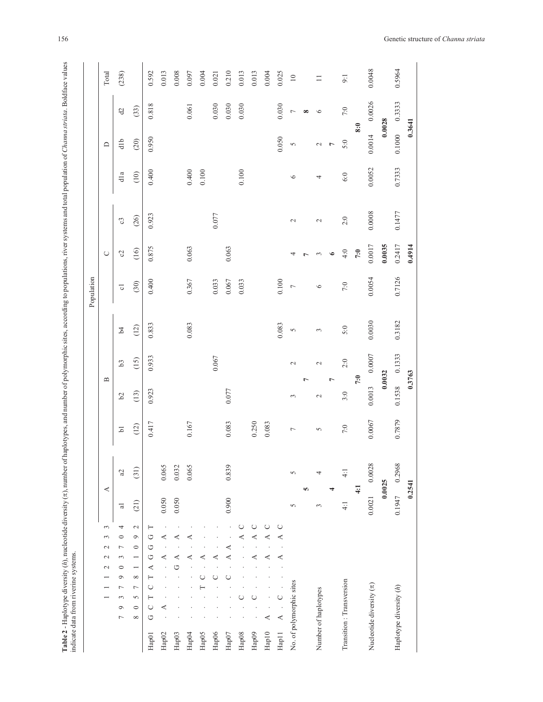| ֬<br>i<br>Š                           |  |
|---------------------------------------|--|
| ł<br>j                                |  |
| j                                     |  |
| I                                     |  |
| Ξ                                     |  |
| j<br>١<br>l                           |  |
|                                       |  |
| j                                     |  |
| ¢                                     |  |
|                                       |  |
| i<br>ı<br>١<br>ï                      |  |
| ł                                     |  |
|                                       |  |
|                                       |  |
| 277227<br>5                           |  |
| į<br>ì<br>$\ddot{\phantom{a}}$<br>ı   |  |
|                                       |  |
| $\frac{1}{2}$<br>$\ddot{\phantom{a}}$ |  |
| į<br>Ì                                |  |
| i<br>Ç                                |  |
| $\ddot{\phantom{0}}$<br>ū<br>Į<br>١   |  |
| l<br>;                                |  |
| i<br>ξ<br>5                           |  |
| š<br>.<br>.<br>.<br>ś<br>J            |  |
| j                                     |  |
|                                       |  |
| 5                                     |  |
| l<br>Ć                                |  |
| ţ<br>ł<br>j<br>J                      |  |
| l<br>----------                       |  |
|                                       |  |
| ĺ<br>i<br>i                           |  |
| $\frac{1}{2}$<br>l<br>$\frac{1}{2}$   |  |
| <b>Contract</b>                       |  |
| of haplu.<br>č                        |  |
| ֓֕֡<br>۱                              |  |
|                                       |  |
| ţ                                     |  |
|                                       |  |
| ś                                     |  |
|                                       |  |
|                                       |  |
|                                       |  |
|                                       |  |
|                                       |  |
|                                       |  |
|                                       |  |
| $\mathbf{I}$                          |  |
|                                       |  |
| j<br>ı                                |  |
|                                       |  |

|                                                                                                                                                    |                |               |                |                          |                |                | Population         |                       |                |         |                |                |        |
|----------------------------------------------------------------------------------------------------------------------------------------------------|----------------|---------------|----------------|--------------------------|----------------|----------------|--------------------|-----------------------|----------------|---------|----------------|----------------|--------|
| 3<br>3<br>$\sim$<br>$\mathcal{L}$<br>$\sim$                                                                                                        |                | ⋖             |                | $\mathbf{\underline{m}}$ |                |                |                    | $\cup$                |                |         | ≏              |                | Total  |
| 4<br>$\circ$<br>$\overline{\phantom{0}}$<br>3<br>$\circ$<br>$\circ$<br>$\overline{\phantom{0}}$<br>3<br>$\circ$<br>$\overline{ }$                  | $\overline{a}$ | a2            | $\overline{5}$ | b <sup>2</sup>           | b <sub>3</sub> | $\overline{5}$ | $\overline{\circ}$ | $\mathcal{C}$         | $\mathcal{C}$  | dla     | dlb            | $\partial$     | (238)  |
| $\sim$<br>$\circ$<br>$\circ$<br>$\overline{\phantom{0}}$<br>$\overline{\phantom{0}}$<br>$\infty$<br>$\overline{ }$<br>5<br>$\circ$<br>${}^{\circ}$ | (21)           | (31)          | (12)           | (13)                     | (15)           | (12)           | (30)               | (16)                  | (26)           | (10)    | (20)           | (33)           |        |
| $\vdash$<br>O<br>O<br>G<br>⋖<br>$\vdash$<br>O<br>⊢<br>$\cup$<br>O<br>Hap01                                                                         |                |               | 0.417          | 0.923                    | 0.933          | 0.833          | 0.400              | 0.875                 | 0.923          | 0.400   | 0.950          | 0.818          | 0.592  |
| ⋖<br>⋖<br>⋖<br>Hap02                                                                                                                               | 0.050          | 0.065         |                |                          |                |                |                    |                       |                |         |                |                | 0.013  |
| ⋖<br>⋖<br>ت<br>Hap03                                                                                                                               | 0.050          | 0.032         |                |                          |                |                |                    |                       |                |         |                |                | 0.008  |
| Hap04                                                                                                                                              |                | 0.065         | 0.167          |                          |                | 0.083          | 0.367              | 0.063                 |                | 0.400   |                | 0.061          | 0.097  |
| Hap05                                                                                                                                              |                |               |                |                          |                |                |                    |                       |                | 0.100   |                |                | 0.004  |
| Нар06                                                                                                                                              |                |               |                |                          | 0.067          |                | 0.033              |                       | 0.077          |         |                | 0.030          | 0.021  |
| ⋖<br>⋖<br>Hap07                                                                                                                                    | 0.900          | 0.839         | 0.083          | 0.077                    |                |                | $0.067\,$          | 0.063                 |                |         |                | 0.030          | 0.210  |
| $\cup$<br>⋖<br>Hap08                                                                                                                               |                |               |                |                          |                |                | 0.033              |                       |                | 0.100   |                | 0.030          | 0.013  |
| ◡<br>⋖<br>⋖<br>Hap09                                                                                                                               |                |               | 0.250          |                          |                |                |                    |                       |                |         |                |                | 0.013  |
| ◡<br>∢<br>⋖<br>⋖<br>Hap10                                                                                                                          |                |               | 0.083          |                          |                |                |                    |                       |                |         |                |                | 0.004  |
| $\cup$<br>∢<br>∢<br>◡<br>₹<br>Hap <sub>11</sub>                                                                                                    |                |               |                |                          |                | 0.083          | 0.100              |                       |                |         | 0.050          | 0.030          | 0.025  |
| No. of polymorphic sites                                                                                                                           | 5              | 5             | $\overline{ }$ | 3                        | $\sim$         | $\sigma$       | $\overline{ }$     | 4                     | $\mathbb{C}^1$ | $\circ$ | $\sigma$       | $\overline{ }$ | $10\,$ |
|                                                                                                                                                    |                | Ю             |                |                          | r              |                |                    | $\overline{ }$        |                |         |                | $\infty$       |        |
| Number of haplotypes                                                                                                                               | 3              | 4             | $\sim$         | $\mathbf{C}$             | $\mathcal{L}$  | $\epsilon$     | $\circ$            | $\tilde{\phantom{0}}$ | $\mathcal{L}$  | 4       | $\mathcal{L}$  | $\circ$        | $\Box$ |
|                                                                                                                                                    |                | 4             |                |                          | $\overline{ }$ |                |                    | $\bullet$             |                |         | $\overline{r}$ |                |        |
| Transition: Transversion                                                                                                                           | $\frac{1}{4}$  | $\frac{1}{4}$ | $7:0$          | 3:0                      | 2:0            | 5:0            | 7:0                | 4:0                   | 2:0            | 6:0     | 5:0            | 7:0            | 9:1    |
|                                                                                                                                                    |                | 4:1           |                |                          | 7:0            |                |                    | 7:0                   |                |         |                | 8:0            |        |
| Nucleotide diversity $(\pi)$                                                                                                                       | 0.0021         | 0.0028        | 0.0067         | 0.0013                   | 0.0007         | 0.0030         | 0.0054             | 0.0017                | 0.0008         | 0.0052  | 0.0014         | 0.0026         | 0.0048 |
|                                                                                                                                                    |                | 0.0025        |                |                          | 0.0032         |                |                    | 0.0035                |                |         |                | 0.0028         |        |
| Haplotype diversity (h)                                                                                                                            | 0.1947         | 0.2968        | 0.7879         | 0.1538                   | 0.1333         | 0.3182         | 0.7126             | 0.2417                | 0.1477         | 0.7333  | 0.1000         | 0.3333         | 0.5964 |
|                                                                                                                                                    |                | 0.2541        |                |                          | 0.3763         |                |                    | 0.4914                |                |         |                | 0.3641         |        |
|                                                                                                                                                    |                |               |                |                          |                |                |                    |                       |                |         |                |                |        |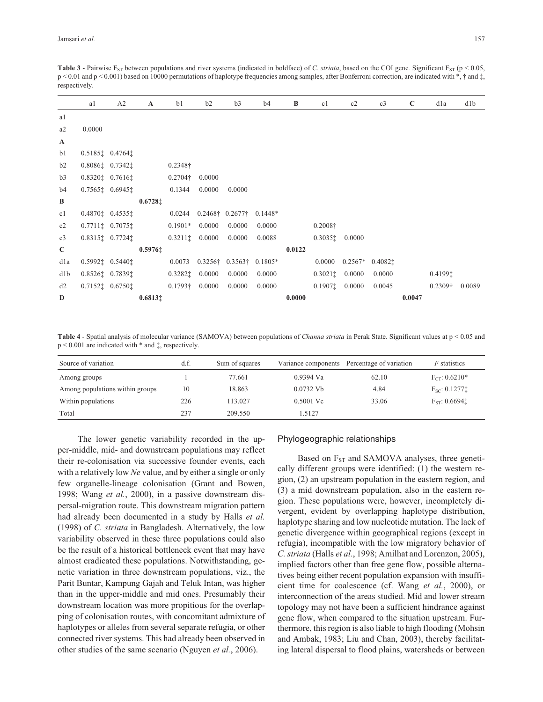**Table 3** - Pairwise  $F_{ST}$  between populations and river systems (indicated in boldface) of *C. striata*, based on the COI gene. Significant  $F_{ST}$  (p < 0.05, p < 0.01 and p < 0.001) based on 10000 permutations of haplotype frequencies among samples, after Bonferroni correction, are indicated with \*, † and ‡, respectively.

|              | a1     | A2                                        | $\mathbf A$           | b1                                       | b2     | b3                               | b4        | B      | c1                 | c2     | c3                          | $\mathbf C$ | d1a             | d1b    |
|--------------|--------|-------------------------------------------|-----------------------|------------------------------------------|--------|----------------------------------|-----------|--------|--------------------|--------|-----------------------------|-------------|-----------------|--------|
| a1           |        |                                           |                       |                                          |        |                                  |           |        |                    |        |                             |             |                 |        |
| a2           | 0.0000 |                                           |                       |                                          |        |                                  |           |        |                    |        |                             |             |                 |        |
| $\mathbf{A}$ |        |                                           |                       |                                          |        |                                  |           |        |                    |        |                             |             |                 |        |
| b1           |        | $0.5185$ ; $0.4764$ ;                     |                       |                                          |        |                                  |           |        |                    |        |                             |             |                 |        |
| b2           |        | $0.8086$ : $0.7342$ :                     |                       | $0.2348\dagger$                          |        |                                  |           |        |                    |        |                             |             |                 |        |
| b3           |        | $0.8320$ $0.7616$                         |                       | $0.2704\dagger$                          | 0.0000 |                                  |           |        |                    |        |                             |             |                 |        |
| b4           |        | $0.7565$ $\ddagger$ 0.6945 $\ddagger$     |                       | 0.1344                                   | 0.0000 | 0.0000                           |           |        |                    |        |                             |             |                 |        |
| B            |        |                                           | $0.6728$ <sup>+</sup> |                                          |        |                                  |           |        |                    |        |                             |             |                 |        |
| c1           |        | 0.4870: 0.4535:                           |                       | 0.0244                                   |        | $0.2468\dagger$ 0.2677 $\dagger$ | $0.1448*$ |        |                    |        |                             |             |                 |        |
| c2           |        | $0.7711 \ddagger 0.7075 \ddagger$         |                       | $0.1901*$                                | 0.0000 | 0.0000                           | 0.0000    |        | $0.2008\dagger$    |        |                             |             |                 |        |
| c3           |        | $0.8315$ $\downarrow 0.7724$ $\downarrow$ |                       | $0.3211\ddagger$ 0.0000                  |        | 0.0000                           | 0.0088    |        | $0.30351$ $0.0000$ |        |                             |             |                 |        |
| $\mathbf C$  |        |                                           | 0.59761               |                                          |        |                                  |           | 0.0122 |                    |        |                             |             |                 |        |
| d1a          |        | $0.5992 \ddagger 0.5440 \ddagger$         |                       | 0.0073                                   |        | $0.3256\dagger$ 0.3563 $\dagger$ | $0.1805*$ |        | 0.0000             |        | $0.2567*$ 0.4082 $\ddagger$ |             |                 |        |
| d1b          |        | 0.8526: 0.7839:                           |                       | $0.3282$ <sup><math>\dagger</math></sup> | 0.0000 | 0.0000                           | 0.0000    |        | 0.30211            | 0.0000 | 0.0000                      |             | 0.41991         |        |
| d2           |        | $0.7152$ $\ddagger$ 0.6750 $\ddagger$     |                       | $0.1793\dagger$                          | 0.0000 | 0.0000                           | 0.0000    |        | $0.1907$ t         | 0.0000 | 0.0045                      |             | $0.2309\dagger$ | 0.0089 |
| D            |        |                                           | 0.68131               |                                          |        |                                  |           | 0.0000 |                    |        |                             | 0.0047      |                 |        |

**Table 4** - Spatial analysis of molecular variance (SAMOVA) between populations of *Channa striata* in Perak State. Significant values at p < 0.05 and p < 0.001 are indicated with \* and ‡, respectively.

| Source of variation             | d.f. | Sum of squares |             | Variance components Percentage of variation | <i>F</i> statistics          |
|---------------------------------|------|----------------|-------------|---------------------------------------------|------------------------------|
| Among groups                    |      | 77.661         | $0.9394$ Va | 62.10                                       | $F_{CT}$ : 0.6210*           |
| Among populations within groups | 10   | 18.863         | $0.0732$ Vb | 4.84                                        | $F_{SC}: 0.1277 \ddagger$    |
| Within populations              | 226  | 113.027        | $0.5001$ Vc | 33.06                                       | $F_{ST}$ : 0.6694 $\ddagger$ |
| Total                           | 237  | 209.550        | 1.5127      |                                             |                              |

The lower genetic variability recorded in the upper-middle, mid- and downstream populations may reflect their re-colonisation via successive founder events, each with a relatively low *Ne* value, and by either a single or only few organelle-lineage colonisation (Grant and Bowen, 1998; Wang *et al.*, 2000), in a passive downstream dispersal-migration route. This downstream migration pattern had already been documented in a study by Halls *et al.* (1998) of *C. striata* in Bangladesh. Alternatively, the low variability observed in these three populations could also be the result of a historical bottleneck event that may have almost eradicated these populations. Notwithstanding, genetic variation in three downstream populations, viz., the Parit Buntar, Kampung Gajah and Teluk Intan, was higher than in the upper-middle and mid ones. Presumably their downstream location was more propitious for the overlapping of colonisation routes, with concomitant admixture of haplotypes or alleles from several separate refugia, or other connected river systems. This had already been observed in other studies of the same scenario (Nguyen *et al.*, 2006).

### Phylogeographic relationships

Based on  $F_{ST}$  and SAMOVA analyses, three genetically different groups were identified: (1) the western region, (2) an upstream population in the eastern region, and (3) a mid downstream population, also in the eastern region. These populations were, however, incompletely divergent, evident by overlapping haplotype distribution, haplotype sharing and low nucleotide mutation. The lack of genetic divergence within geographical regions (except in refugia), incompatible with the low migratory behavior of *C. striata* (Halls *et al.*, 1998; Amilhat and Lorenzon, 2005), implied factors other than free gene flow, possible alternatives being either recent population expansion with insufficient time for coalescence (cf. Wang *et al.*, 2000), or interconnection of the areas studied. Mid and lower stream topology may not have been a sufficient hindrance against gene flow, when compared to the situation upstream. Furthermore, this region is also liable to high flooding (Mohsin and Ambak, 1983; Liu and Chan, 2003), thereby facilitating lateral dispersal to flood plains, watersheds or between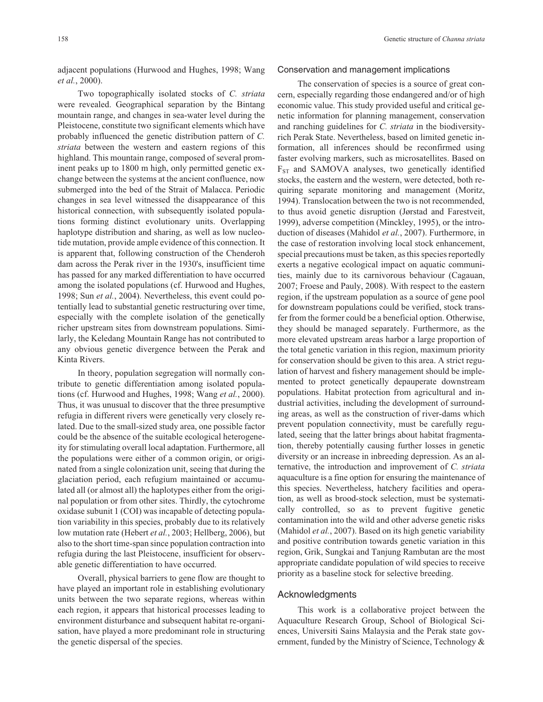*et al.*, 2000).

Two topographically isolated stocks of *C. striata* were revealed. Geographical separation by the Bintang mountain range, and changes in sea-water level during the Pleistocene, constitute two significant elements which have probably influenced the genetic distribution pattern of *C. striata* between the western and eastern regions of this highland. This mountain range, composed of several prominent peaks up to 1800 m high, only permitted genetic exchange between the systems at the ancient confluence, now submerged into the bed of the Strait of Malacca. Periodic changes in sea level witnessed the disappearance of this historical connection, with subsequently isolated populations forming distinct evolutionary units. Overlapping haplotype distribution and sharing, as well as low nucleotide mutation, provide ample evidence of this connection. It is apparent that, following construction of the Chenderoh dam across the Perak river in the 1930's, insufficient time has passed for any marked differentiation to have occurred among the isolated populations (cf. Hurwood and Hughes, 1998; Sun *et al.*, 2004). Nevertheless, this event could potentially lead to substantial genetic restructuring over time, especially with the complete isolation of the genetically richer upstream sites from downstream populations. Similarly, the Keledang Mountain Range has not contributed to any obvious genetic divergence between the Perak and Kinta Rivers.

In theory, population segregation will normally contribute to genetic differentiation among isolated populations (cf. Hurwood and Hughes, 1998; Wang *et al.*, 2000). Thus, it was unusual to discover that the three presumptive refugia in different rivers were genetically very closely related. Due to the small-sized study area, one possible factor could be the absence of the suitable ecological heterogeneity for stimulating overall local adaptation. Furthermore, all the populations were either of a common origin, or originated from a single colonization unit, seeing that during the glaciation period, each refugium maintained or accumulated all (or almost all) the haplotypes either from the original population or from other sites. Thirdly, the cytochrome oxidase subunit 1 (COI) was incapable of detecting population variability in this species, probably due to its relatively low mutation rate (Hebert *et al.*, 2003; Hellberg, 2006), but also to the short time-span since population contraction into refugia during the last Pleistocene, insufficient for observable genetic differentiation to have occurred.

Overall, physical barriers to gene flow are thought to have played an important role in establishing evolutionary units between the two separate regions, whereas within each region, it appears that historical processes leading to environment disturbance and subsequent habitat re-organisation, have played a more predominant role in structuring the genetic dispersal of the species.

### Conservation and management implications

The conservation of species is a source of great concern, especially regarding those endangered and/or of high economic value. This study provided useful and critical genetic information for planning management, conservation and ranching guidelines for *C. striata* in the biodiversityrich Perak State. Nevertheless, based on limited genetic information, all inferences should be reconfirmed using faster evolving markers, such as microsatellites. Based on  $F<sub>ST</sub>$  and SAMOVA analyses, two genetically identified stocks, the eastern and the western, were detected, both requiring separate monitoring and management (Moritz, 1994). Translocation between the two is not recommended, to thus avoid genetic disruption (Jørstad and Farestveit, 1999), adverse competition (Minckley, 1995), or the introduction of diseases (Mahidol *et al.*, 2007). Furthermore, in the case of restoration involving local stock enhancement, special precautions must be taken, as this species reportedly exerts a negative ecological impact on aquatic communities, mainly due to its carnivorous behaviour (Cagauan, 2007; Froese and Pauly, 2008). With respect to the eastern region, if the upstream population as a source of gene pool for downstream populations could be verified, stock transfer from the former could be a beneficial option. Otherwise, they should be managed separately. Furthermore, as the more elevated upstream areas harbor a large proportion of the total genetic variation in this region, maximum priority for conservation should be given to this area. A strict regulation of harvest and fishery management should be implemented to protect genetically depauperate downstream populations. Habitat protection from agricultural and industrial activities, including the development of surrounding areas, as well as the construction of river-dams which prevent population connectivity, must be carefully regulated, seeing that the latter brings about habitat fragmentation, thereby potentially causing further losses in genetic diversity or an increase in inbreeding depression. As an alternative, the introduction and improvement of *C. striata* aquaculture is a fine option for ensuring the maintenance of this species. Nevertheless, hatchery facilities and operation, as well as brood-stock selection, must be systematically controlled, so as to prevent fugitive genetic contamination into the wild and other adverse genetic risks (Mahidol *et al.*, 2007). Based on its high genetic variability and positive contribution towards genetic variation in this region, Grik, Sungkai and Tanjung Rambutan are the most appropriate candidate population of wild species to receive priority as a baseline stock for selective breeding.

### Acknowledgments

This work is a collaborative project between the Aquaculture Research Group, School of Biological Sciences, Universiti Sains Malaysia and the Perak state government, funded by the Ministry of Science, Technology &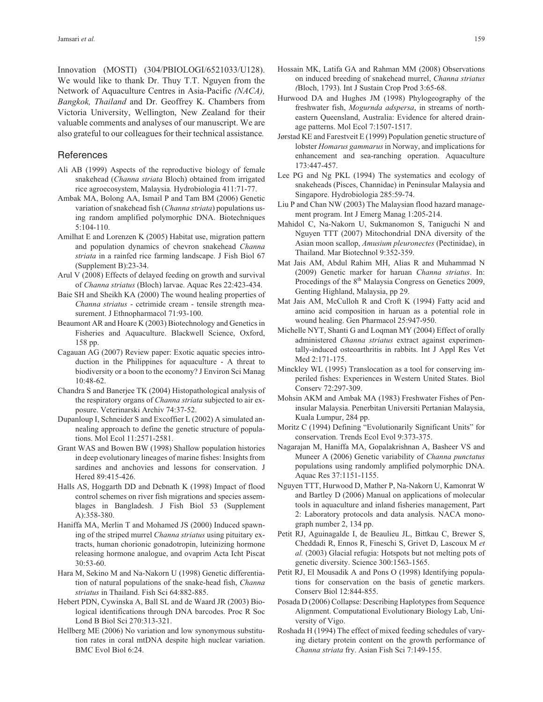Innovation (MOSTI) (304/PBIOLOGI/6521033/U128). We would like to thank Dr. Thuy T.T. Nguyen from the Network of Aquaculture Centres in Asia*-*Pacific *(NACA), Bangkok, Thailand* and Dr. Geoffrey K. Chambers from Victoria University, Wellington, New Zealand for their valuable comments and analyses of our manuscript. We are also grateful to our colleagues for their technical assistance*.*

### **References**

- Ali AB (1999) Aspects of the reproductive biology of female snakehead (*Channa striata* Bloch) obtained from irrigated rice agroecosystem, Malaysia*.* Hydrobiologia 411:71-77.
- Ambak MA, Bolong AA, Ismail P and Tam BM (2006) Genetic variation of snakehead fish (*Channa striata*) populations using random amplified polymorphic DNA. Biotechniques 5:104-110.
- Amilhat E and Lorenzen K (2005) Habitat use, migration pattern and population dynamics of chevron snakehead *Channa striata* in a rainfed rice farming landscape. J Fish Biol 67 (Supplement B):23-34.
- Arul V (2008) Effects of delayed feeding on growth and survival of *Channa striatus* (Bloch) larvae. Aquac Res 22:423-434.
- Baie SH and Sheikh KA (2000) The wound healing properties of *Channa striatus* - cetrimide cream - tensile strength measurement. J Ethnopharmacol 71:93-100.
- Beaumont AR and Hoare K (2003) Biotechnology and Genetics in Fisheries and Aquaculture. Blackwell Science, Oxford, 158 pp.
- Cagauan AG (2007) Review paper: Exotic aquatic species introduction in the Philippines for aquaculture - A threat to biodiversity or a boon to the economy? J Environ Sci Manag 10:48-62.
- Chandra S and Banerjee TK (2004) Histopathological analysis of the respiratory organs of *Channa striata* subjected to air exposure. Veterinarski Archiv 74:37-52.
- Dupanloup I, Schneider S and Excoffier L (2002) A simulated annealing approach to define the genetic structure of populations. Mol Ecol 11:2571-2581.
- Grant WAS and Bowen BW (1998) Shallow population histories in deep evolutionary lineages of marine fishes: Insights from sardines and anchovies and lessons for conservation. J Hered 89:415-426.
- Halls AS, Hoggarth DD and Debnath K (1998) Impact of flood control schemes on river fish migrations and species assemblages in Bangladesh. J Fish Biol 53 (Supplement A):358-380.
- Haniffa MA, Merlin T and Mohamed JS (2000) Induced spawning of the striped murrel *Channa striatus* using pituitary extracts, human chorionic gonadotropin, luteinizing hormone releasing hormone analogue, and ovaprim Acta Icht Piscat 30:53-60.
- Hara M, Sekino M and Na-Nakorn U (1998) Genetic differentiation of natural populations of the snake-head fish, *Channa striatus* in Thailand. Fish Sci 64:882-885.
- Hebert PDN, Cywinska A, Ball SL and de Waard JR (2003) Biological identifications through DNA barcodes. Proc R Soc Lond B Biol Sci 270:313-321.
- Hellberg ME (2006) No variation and low synonymous substitution rates in coral mtDNA despite high nuclear variation. BMC Evol Biol 6:24.
- Hossain MK, Latifa GA and Rahman MM (2008) Observations on induced breeding of snakehead murrel, *Channa striatus (*Bloch, 1793). Int J Sustain Crop Prod 3:65-68.
- Hurwood DA and Hughes JM (1998) Phylogeography of the freshwater fish, *Mogurnda adspersa*, in streams of northeastern Queensland, Australia: Evidence for altered drainage patterns. Mol Ecol 7:1507-1517.
- Jørstad KE and Farestveit E (1999) Population genetic structure of lobster *Homarus gammarus*in Norway, and implications for enhancement and sea-ranching operation. Aquaculture 173:447-457.
- Lee PG and Ng PKL (1994) The systematics and ecology of snakeheads (Pisces, Channidae) in Peninsular Malaysia and Singapore. Hydrobiologia 285:59-74.
- Liu P and Chan NW (2003) The Malaysian flood hazard management program. Int J Emerg Manag 1:205-214.
- Mahidol C, Na-Nakorn U, Sukmanomon S, Taniguchi N and Nguyen TTT (2007) Mitochondrial DNA diversity of the Asian moon scallop, *Amusium pleuronectes* (Pectinidae), in Thailand. Mar Biotechnol 9:352-359.
- Mat Jais AM, Abdul Rahim MH, Alias R and Muhammad N (2009) Genetic marker for haruan *Channa striatus*. In: Procedings of the 8<sup>th</sup> Malaysia Congress on Genetics 2009, Genting Highland, Malaysia, pp 29.
- Mat Jais AM, McCulloh R and Croft K (1994) Fatty acid and amino acid composition in haruan as a potential role in wound healing. Gen Pharmacol 25:947-950.
- Michelle NYT, Shanti G and Loqman MY (2004) Effect of orally administered *Channa striatus* extract against experimentally-induced osteoarthritis in rabbits. Int J Appl Res Vet Med 2:171-175.
- Minckley WL (1995) Translocation as a tool for conserving imperiled fishes: Experiences in Western United States. Biol Conserv 72:297-309.
- Mohsin AKM and Ambak MA (1983) Freshwater Fishes of Peninsular Malaysia. Penerbitan Universiti Pertanian Malaysia, Kuala Lumpur, 284 pp.
- Moritz C (1994) Defining "Evolutionarily Significant Units" for conservation. Trends Ecol Evol 9:373-375.
- Nagarajan M, Haniffa MA, Gopalakrishnan A, Basheer VS and Muneer A (2006) Genetic variability of *Channa punctatus* populations using randomly amplified polymorphic DNA. Aquac Res 37:1151-1155.
- Nguyen TTT, Hurwood D, Mather P, Na-Nakorn U, Kamonrat W and Bartley D (2006) Manual on applications of molecular tools in aquaculture and inland fisheries management, Part 2: Laboratory protocols and data analysis. NACA monograph number 2, 134 pp.
- Petit RJ, Aguinagalde I, de Beaulieu JL, Bittkau C, Brewer S, Cheddadi R, Ennos R, Fineschi S, Grivet D, Lascoux M *et al.* (2003) Glacial refugia: Hotspots but not melting pots of genetic diversity. Science 300:1563-1565.
- Petit RJ, El Mousadik A and Pons O (1998) Identifying populations for conservation on the basis of genetic markers. Conserv Biol 12:844-855.
- Posada D (2006) Collapse: Describing Haplotypes from Sequence Alignment. Computational Evolutionary Biology Lab, University of Vigo.
- Roshada H (1994) The effect of mixed feeding schedules of varying dietary protein content on the growth performance of *Channa striata* fry. Asian Fish Sci 7:149-155.